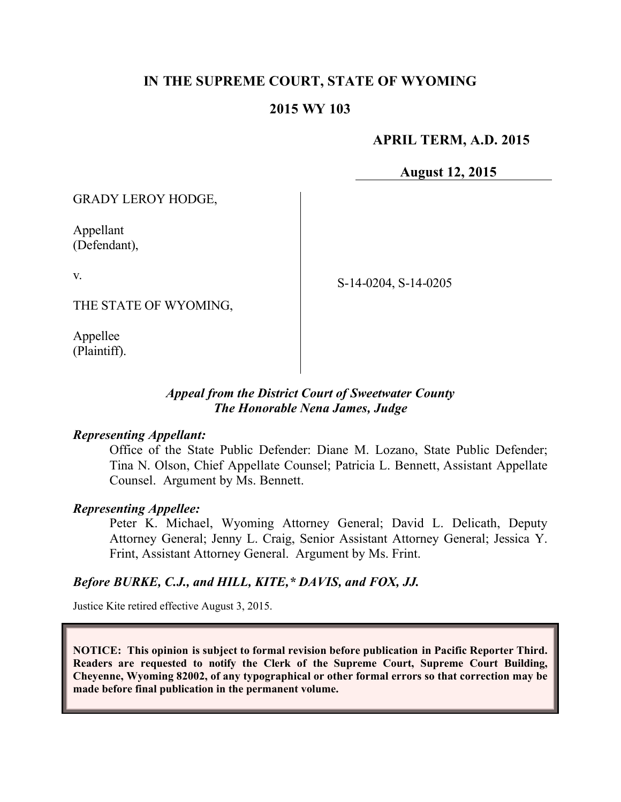# **IN THE SUPREME COURT, STATE OF WYOMING**

## **2015 WY 103**

## **APRIL TERM, A.D. 2015**

**August 12, 2015**

GRADY LEROY HODGE,

Appellant (Defendant),

v.

S-14-0204, S-14-0205

THE STATE OF WYOMING,

Appellee (Plaintiff).

### *Appeal from the District Court of Sweetwater County The Honorable Nena James, Judge*

#### *Representing Appellant:*

Office of the State Public Defender: Diane M. Lozano, State Public Defender; Tina N. Olson, Chief Appellate Counsel; Patricia L. Bennett, Assistant Appellate Counsel. Argument by Ms. Bennett.

### *Representing Appellee:*

Peter K. Michael, Wyoming Attorney General; David L. Delicath, Deputy Attorney General; Jenny L. Craig, Senior Assistant Attorney General; Jessica Y. Frint, Assistant Attorney General. Argument by Ms. Frint.

### *Before BURKE, C.J., and HILL, KITE,\* DAVIS, and FOX, JJ.*

Justice Kite retired effective August 3, 2015.

**NOTICE: This opinion is subject to formal revision before publication in Pacific Reporter Third. Readers are requested to notify the Clerk of the Supreme Court, Supreme Court Building, Cheyenne, Wyoming 82002, of any typographical or other formal errors so that correction may be made before final publication in the permanent volume.**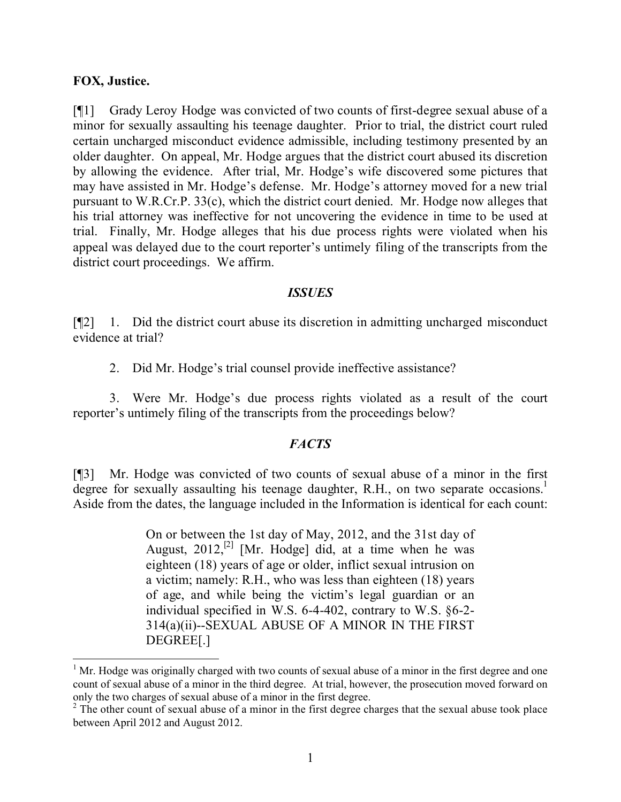### **FOX, Justice.**

[¶1] Grady Leroy Hodge was convicted of two counts of first-degree sexual abuse of a minor for sexually assaulting his teenage daughter. Prior to trial, the district court ruled certain uncharged misconduct evidence admissible, including testimony presented by an older daughter. On appeal, Mr. Hodge argues that the district court abused its discretion by allowing the evidence. After trial, Mr. Hodge's wife discovered some pictures that may have assisted in Mr. Hodge's defense. Mr. Hodge's attorney moved for a new trial pursuant to W.R.Cr.P. 33(c), which the district court denied. Mr. Hodge now alleges that his trial attorney was ineffective for not uncovering the evidence in time to be used at trial. Finally, Mr. Hodge alleges that his due process rights were violated when his appeal was delayed due to the court reporter's untimely filing of the transcripts from the district court proceedings. We affirm.

### *ISSUES*

[¶2] 1. Did the district court abuse its discretion in admitting uncharged misconduct evidence at trial?

2. Did Mr. Hodge's trial counsel provide ineffective assistance?

3. Were Mr. Hodge's due process rights violated as a result of the court reporter's untimely filing of the transcripts from the proceedings below?

### *FACTS*

[¶3] Mr. Hodge was convicted of two counts of sexual abuse of a minor in the first degree for sexually assaulting his teenage daughter, R.H., on two separate occasions.<sup>1</sup> Aside from the dates, the language included in the Information is identical for each count:

> On or between the 1st day of May, 2012, and the 31st day of August,  $2012$ ,<sup>[2]</sup> [Mr. Hodge] did, at a time when he was eighteen (18) years of age or older, inflict sexual intrusion on a victim; namely: R.H., who was less than eighteen (18) years of age, and while being the victim's legal guardian or an individual specified in W.S. 6-4-402, contrary to W.S. §6-2- 314(a)(ii)--SEXUAL ABUSE OF A MINOR IN THE FIRST DEGREE[.]

 $1$  Mr. Hodge was originally charged with two counts of sexual abuse of a minor in the first degree and one count of sexual abuse of a minor in the third degree. At trial, however, the prosecution moved forward on only the two charges of sexual abuse of a minor in the first degree.

 $2 \text{ The other count of sexual abuse of a minor in the first degree charges that the sexual abuse took place.}$ between April 2012 and August 2012.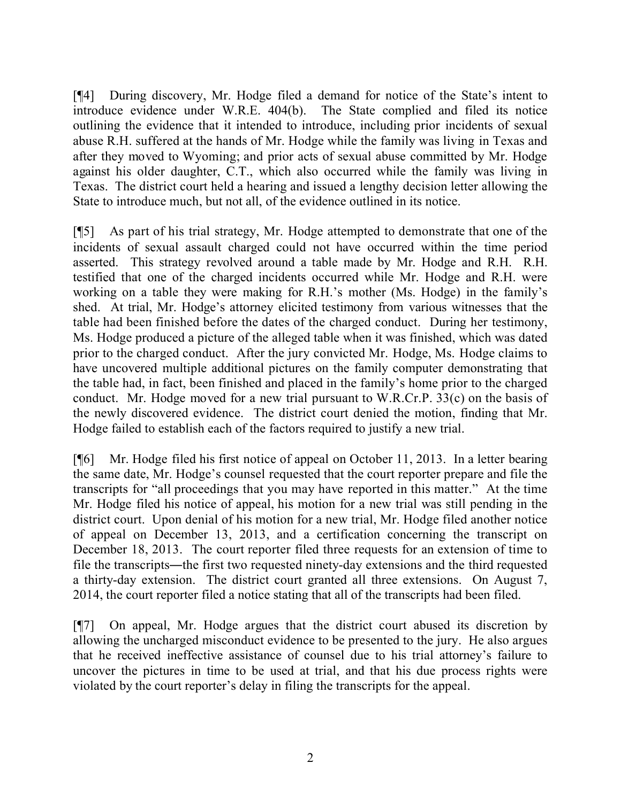[¶4] During discovery, Mr. Hodge filed a demand for notice of the State's intent to introduce evidence under W.R.E. 404(b). The State complied and filed its notice outlining the evidence that it intended to introduce, including prior incidents of sexual abuse R.H. suffered at the hands of Mr. Hodge while the family was living in Texas and after they moved to Wyoming; and prior acts of sexual abuse committed by Mr. Hodge against his older daughter, C.T., which also occurred while the family was living in Texas. The district court held a hearing and issued a lengthy decision letter allowing the State to introduce much, but not all, of the evidence outlined in its notice.

[¶5] As part of his trial strategy, Mr. Hodge attempted to demonstrate that one of the incidents of sexual assault charged could not have occurred within the time period asserted. This strategy revolved around a table made by Mr. Hodge and R.H. R.H. testified that one of the charged incidents occurred while Mr. Hodge and R.H. were working on a table they were making for R.H.'s mother (Ms. Hodge) in the family's shed. At trial, Mr. Hodge's attorney elicited testimony from various witnesses that the table had been finished before the dates of the charged conduct. During her testimony, Ms. Hodge produced a picture of the alleged table when it was finished, which was dated prior to the charged conduct. After the jury convicted Mr. Hodge, Ms. Hodge claims to have uncovered multiple additional pictures on the family computer demonstrating that the table had, in fact, been finished and placed in the family's home prior to the charged conduct. Mr. Hodge moved for a new trial pursuant to W.R.Cr.P. 33(c) on the basis of the newly discovered evidence. The district court denied the motion, finding that Mr. Hodge failed to establish each of the factors required to justify a new trial.

[¶6] Mr. Hodge filed his first notice of appeal on October 11, 2013. In a letter bearing the same date, Mr. Hodge's counsel requested that the court reporter prepare and file the transcripts for "all proceedings that you may have reported in this matter." At the time Mr. Hodge filed his notice of appeal, his motion for a new trial was still pending in the district court. Upon denial of his motion for a new trial, Mr. Hodge filed another notice of appeal on December 13, 2013, and a certification concerning the transcript on December 18, 2013. The court reporter filed three requests for an extension of time to file the transcripts―the first two requested ninety-day extensions and the third requested a thirty-day extension. The district court granted all three extensions. On August 7, 2014, the court reporter filed a notice stating that all of the transcripts had been filed.

[¶7] On appeal, Mr. Hodge argues that the district court abused its discretion by allowing the uncharged misconduct evidence to be presented to the jury. He also argues that he received ineffective assistance of counsel due to his trial attorney's failure to uncover the pictures in time to be used at trial, and that his due process rights were violated by the court reporter's delay in filing the transcripts for the appeal.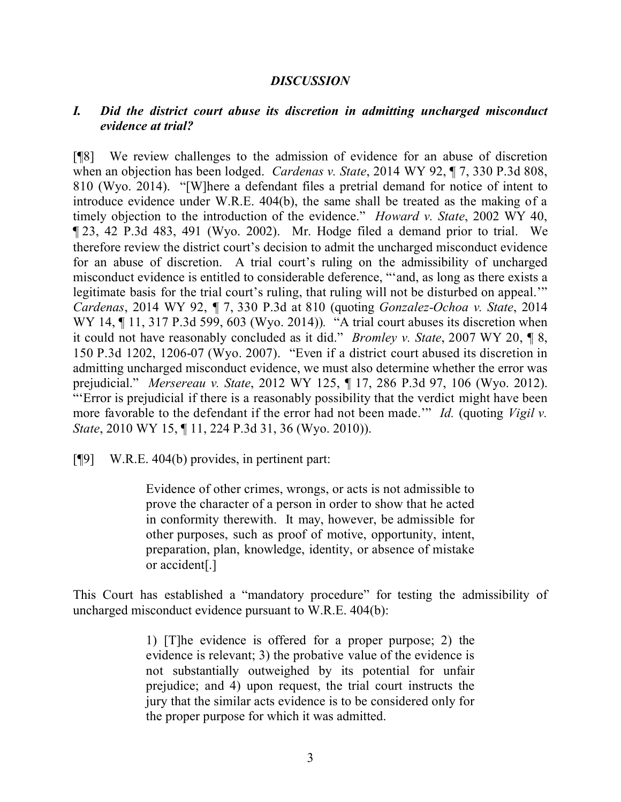#### *DISCUSSION*

### *I. Did the district court abuse its discretion in admitting uncharged misconduct evidence at trial?*

[¶8] We review challenges to the admission of evidence for an abuse of discretion when an objection has been lodged. *Cardenas v. State*, 2014 WY 92, ¶ 7, 330 P.3d 808, 810 (Wyo. 2014). "[W]here a defendant files a pretrial demand for notice of intent to introduce evidence under W.R.E. 404(b), the same shall be treated as the making of a timely objection to the introduction of the evidence." *Howard v. State*, 2002 WY 40, ¶ 23, 42 P.3d 483, 491 (Wyo. 2002). Mr. Hodge filed a demand prior to trial. We therefore review the district court's decision to admit the uncharged misconduct evidence for an abuse of discretion. A trial court's ruling on the admissibility of uncharged misconduct evidence is entitled to considerable deference, "'and, as long as there exists a legitimate basis for the trial court's ruling, that ruling will not be disturbed on appeal." *Cardenas*, 2014 WY 92, *¶* 7, 330 P.3d at 810 (quoting *Gonzalez-Ochoa v. State*, 2014 WY 14, ¶ 11, 317 P.3d 599, 603 (Wyo. 2014))*.* "A trial court abuses its discretion when it could not have reasonably concluded as it did." *Bromley v. State*, 2007 WY 20, ¶ 8, 150 P.3d 1202, 1206-07 (Wyo. 2007). "Even if a district court abused its discretion in admitting uncharged misconduct evidence, we must also determine whether the error was prejudicial." *Mersereau v. State*, 2012 WY 125, ¶ 17, 286 P.3d 97, 106 (Wyo. 2012). "'Error is prejudicial if there is a reasonably possibility that the verdict might have been more favorable to the defendant if the error had not been made.'" *Id.* (quoting *Vigil v. State*, 2010 WY 15, ¶ 11, 224 P.3d 31, 36 (Wyo. 2010)).

[¶9] W.R.E. 404(b) provides, in pertinent part:

Evidence of other crimes, wrongs, or acts is not admissible to prove the character of a person in order to show that he acted in conformity therewith. It may, however, be admissible for other purposes, such as proof of motive, opportunity, intent, preparation, plan, knowledge, identity, or absence of mistake or accident[.]

This Court has established a "mandatory procedure" for testing the admissibility of uncharged misconduct evidence pursuant to W.R.E. 404(b):

> 1) [T]he evidence is offered for a proper purpose; 2) the evidence is relevant; 3) the probative value of the evidence is not substantially outweighed by its potential for unfair prejudice; and 4) upon request, the trial court instructs the jury that the similar acts evidence is to be considered only for the proper purpose for which it was admitted.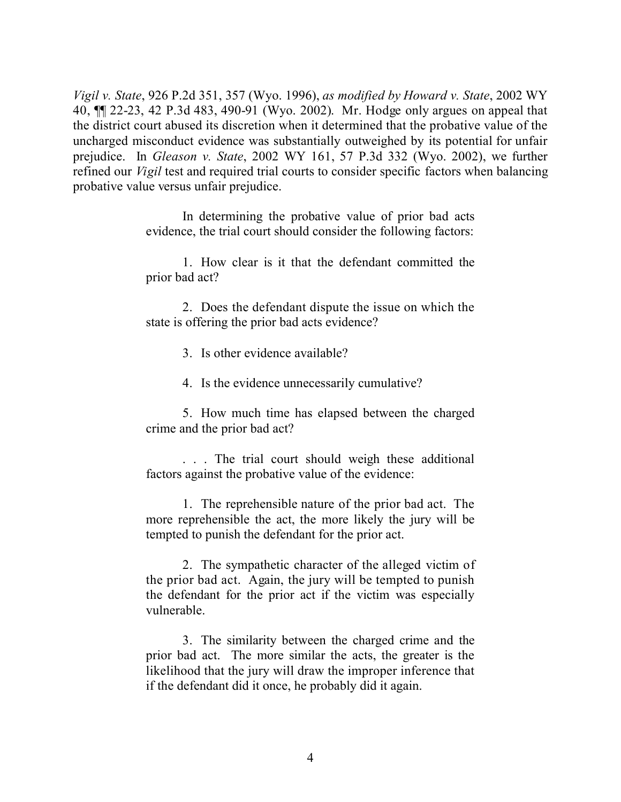*Vigil v. State*, 926 P.2d 351, 357 (Wyo. 1996), *as modified by Howard v. State*, 2002 WY 40, ¶¶ 22-23, 42 P.3d 483, 490-91 (Wyo. 2002). Mr. Hodge only argues on appeal that the district court abused its discretion when it determined that the probative value of the uncharged misconduct evidence was substantially outweighed by its potential for unfair prejudice. In *Gleason v. State*, 2002 WY 161, 57 P.3d 332 (Wyo. 2002), we further refined our *Vigil* test and required trial courts to consider specific factors when balancing probative value versus unfair prejudice.

> In determining the probative value of prior bad acts evidence, the trial court should consider the following factors:

> 1. How clear is it that the defendant committed the prior bad act?

> 2. Does the defendant dispute the issue on which the state is offering the prior bad acts evidence?

> > 3. Is other evidence available?

4. Is the evidence unnecessarily cumulative?

5. How much time has elapsed between the charged crime and the prior bad act?

. . . The trial court should weigh these additional factors against the probative value of the evidence:

1. The reprehensible nature of the prior bad act. The more reprehensible the act, the more likely the jury will be tempted to punish the defendant for the prior act.

2. The sympathetic character of the alleged victim of the prior bad act. Again, the jury will be tempted to punish the defendant for the prior act if the victim was especially vulnerable.

3. The similarity between the charged crime and the prior bad act. The more similar the acts, the greater is the likelihood that the jury will draw the improper inference that if the defendant did it once, he probably did it again.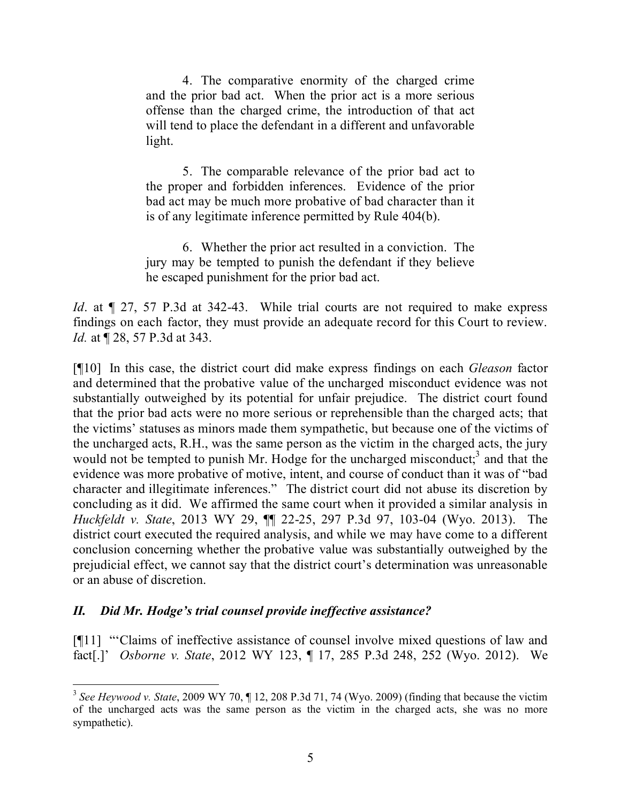4. The comparative enormity of the charged crime and the prior bad act. When the prior act is a more serious offense than the charged crime, the introduction of that act will tend to place the defendant in a different and unfavorable light.

5. The comparable relevance of the prior bad act to the proper and forbidden inferences. Evidence of the prior bad act may be much more probative of bad character than it is of any legitimate inference permitted by Rule 404(b).

6. Whether the prior act resulted in a conviction. The jury may be tempted to punish the defendant if they believe he escaped punishment for the prior bad act.

*Id.* at  $\llbracket$  27, 57 P.3d at 342-43. While trial courts are not required to make express findings on each factor, they must provide an adequate record for this Court to review. *Id.* at ¶ 28, 57 P.3d at 343.

[¶10] In this case, the district court did make express findings on each *Gleason* factor and determined that the probative value of the uncharged misconduct evidence was not substantially outweighed by its potential for unfair prejudice. The district court found that the prior bad acts were no more serious or reprehensible than the charged acts; that the victims' statuses as minors made them sympathetic, but because one of the victims of the uncharged acts, R.H., was the same person as the victim in the charged acts, the jury would not be tempted to punish Mr. Hodge for the uncharged misconduct;<sup>3</sup> and that the evidence was more probative of motive, intent, and course of conduct than it was of "bad character and illegitimate inferences." The district court did not abuse its discretion by concluding as it did. We affirmed the same court when it provided a similar analysis in *Huckfeldt v. State*, 2013 WY 29, ¶¶ 22-25, 297 P.3d 97, 103-04 (Wyo. 2013). The district court executed the required analysis, and while we may have come to a different conclusion concerning whether the probative value was substantially outweighed by the prejudicial effect, we cannot say that the district court's determination was unreasonable or an abuse of discretion.

# *II. Did Mr. Hodge's trial counsel provide ineffective assistance?*

[¶11] "'Claims of ineffective assistance of counsel involve mixed questions of law and fact[.]' *Osborne v. State*, 2012 WY 123, ¶ 17, 285 P.3d 248, 252 (Wyo. 2012). We

<sup>&</sup>lt;sup>3</sup> See Heywood v. State, 2009 WY 70, ¶ 12, 208 P.3d 71, 74 (Wyo. 2009) (finding that because the victim of the uncharged acts was the same person as the victim in the charged acts, she was no more sympathetic).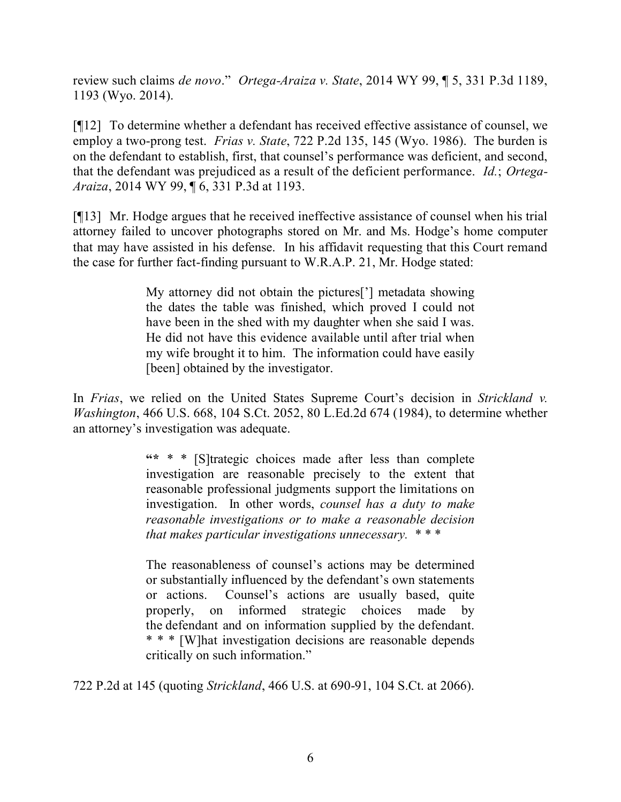review such claims *de novo*." *Ortega-Araiza v. State*, 2014 WY 99, ¶ 5, 331 P.3d 1189, 1193 (Wyo. 2014).

[¶12] To determine whether a defendant has received effective assistance of counsel, we employ a two-prong test. *Frias v. State*, 722 P.2d 135, 145 (Wyo. 1986). The burden is on the defendant to establish, first, that counsel's performance was deficient, and second, that the defendant was prejudiced as a result of the deficient performance. *Id.*; *Ortega-Araiza*, 2014 WY 99, ¶ 6, 331 P.3d at 1193.

[¶13] Mr. Hodge argues that he received ineffective assistance of counsel when his trial attorney failed to uncover photographs stored on Mr. and Ms. Hodge's home computer that may have assisted in his defense. In his affidavit requesting that this Court remand the case for further fact-finding pursuant to W.R.A.P. 21, Mr. Hodge stated:

> My attorney did not obtain the pictures['] metadata showing the dates the table was finished, which proved I could not have been in the shed with my daughter when she said I was. He did not have this evidence available until after trial when my wife brought it to him. The information could have easily [been] obtained by the investigator.

In *Frias*, we relied on the United States Supreme Court's decision in *Strickland v. Washington*, 466 U.S. 668, 104 S.Ct. 2052, 80 L.Ed.2d 674 (1984), to determine whether an attorney's investigation was adequate.

> **"\*** \* \* [S]trategic choices made after less than complete investigation are reasonable precisely to the extent that reasonable professional judgments support the limitations on investigation. In other words, *counsel has a duty to make reasonable investigations or to make a reasonable decision that makes particular investigations unnecessary.* \* \* \*

> The reasonableness of counsel's actions may be determined or substantially influenced by the defendant's own statements or actions. Counsel's actions are usually based, quite properly, on informed strategic choices made by the defendant and on information supplied by the defendant. \* \* \* [W]hat investigation decisions are reasonable depends critically on such information."

722 P.2d at 145 (quoting *Strickland*, 466 U.S. at 690-91, 104 S.Ct. at 2066).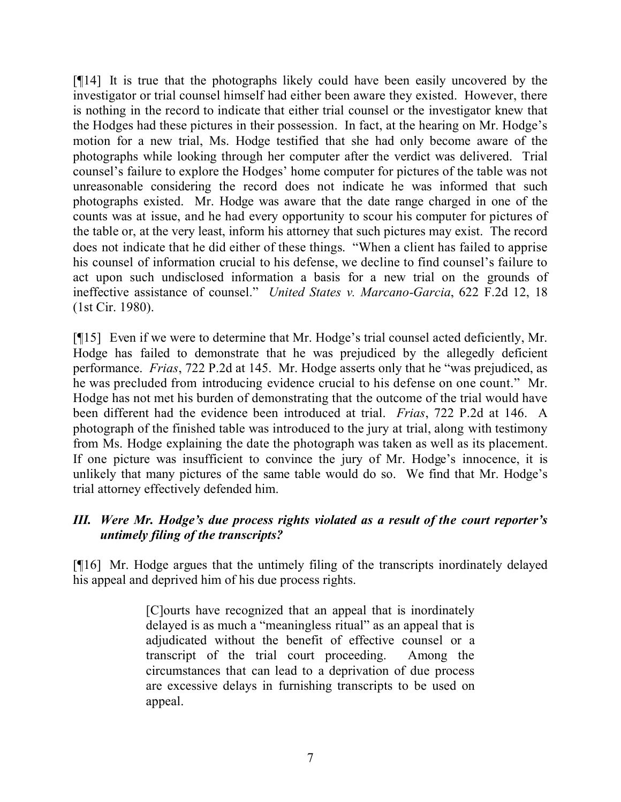[¶14] It is true that the photographs likely could have been easily uncovered by the investigator or trial counsel himself had either been aware they existed. However, there is nothing in the record to indicate that either trial counsel or the investigator knew that the Hodges had these pictures in their possession. In fact, at the hearing on Mr. Hodge's motion for a new trial, Ms. Hodge testified that she had only become aware of the photographs while looking through her computer after the verdict was delivered. Trial counsel's failure to explore the Hodges' home computer for pictures of the table was not unreasonable considering the record does not indicate he was informed that such photographs existed. Mr. Hodge was aware that the date range charged in one of the counts was at issue, and he had every opportunity to scour his computer for pictures of the table or, at the very least, inform his attorney that such pictures may exist. The record does not indicate that he did either of these things. "When a client has failed to apprise his counsel of information crucial to his defense, we decline to find counsel's failure to act upon such undisclosed information a basis for a new trial on the grounds of ineffective assistance of counsel." *United States v. Marcano-Garcia*, 622 F.2d 12, 18 (1st Cir. 1980).

[¶15] Even if we were to determine that Mr. Hodge's trial counsel acted deficiently, Mr. Hodge has failed to demonstrate that he was prejudiced by the allegedly deficient performance. *Frias*, 722 P.2d at 145. Mr. Hodge asserts only that he "was prejudiced, as he was precluded from introducing evidence crucial to his defense on one count." Mr. Hodge has not met his burden of demonstrating that the outcome of the trial would have been different had the evidence been introduced at trial. *Frias*, 722 P.2d at 146. A photograph of the finished table was introduced to the jury at trial, along with testimony from Ms. Hodge explaining the date the photograph was taken as well as its placement. If one picture was insufficient to convince the jury of Mr. Hodge's innocence, it is unlikely that many pictures of the same table would do so. We find that Mr. Hodge's trial attorney effectively defended him.

# *III. Were Mr. Hodge's due process rights violated as a result of the court reporter's untimely filing of the transcripts?*

[¶16] Mr. Hodge argues that the untimely filing of the transcripts inordinately delayed his appeal and deprived him of his due process rights.

> [C]ourts have recognized that an appeal that is inordinately delayed is as much a "meaningless ritual" as an appeal that is adjudicated without the benefit of effective counsel or a transcript of the trial court proceeding. Among the circumstances that can lead to a deprivation of due process are excessive delays in furnishing transcripts to be used on appeal.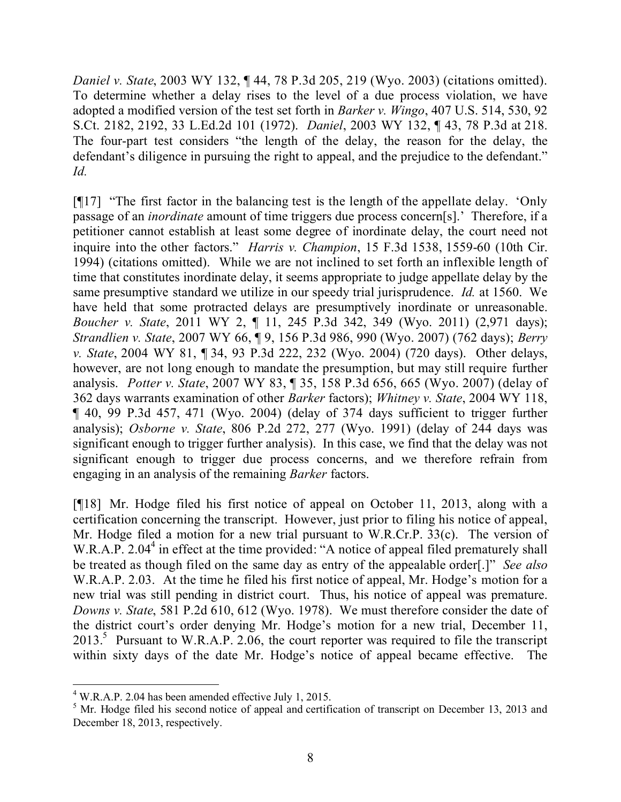*Daniel v. State*, 2003 WY 132, ¶ 44, 78 P.3d 205, 219 (Wyo. 2003) (citations omitted). To determine whether a delay rises to the level of a due process violation, we have adopted a modified version of the test set forth in *Barker v. Wingo*, 407 U.S. 514, 530, 92 S.Ct. 2182, 2192, 33 L.Ed.2d 101 (1972). *Daniel*, 2003 WY 132, ¶ 43, 78 P.3d at 218. The four-part test considers "the length of the delay, the reason for the delay, the defendant's diligence in pursuing the right to appeal, and the prejudice to the defendant." *Id.*

[¶17] "The first factor in the balancing test is the length of the appellate delay. 'Only passage of an *inordinate* amount of time triggers due process concern[s].' Therefore, if a petitioner cannot establish at least some degree of inordinate delay, the court need not inquire into the other factors." *Harris v. Champion*, 15 F.3d 1538, 1559-60 (10th Cir. 1994) (citations omitted). While we are not inclined to set forth an inflexible length of time that constitutes inordinate delay, it seems appropriate to judge appellate delay by the same presumptive standard we utilize in our speedy trial jurisprudence. *Id.* at 1560. We have held that some protracted delays are presumptively inordinate or unreasonable. *Boucher v. State*, 2011 WY 2, ¶ 11, 245 P.3d 342, 349 (Wyo. 2011) (2,971 days); *Strandlien v. State*, 2007 WY 66, ¶ 9, 156 P.3d 986, 990 (Wyo. 2007) (762 days); *Berry v. State*, 2004 WY 81, ¶ 34, 93 P.3d 222, 232 (Wyo. 2004) (720 days). Other delays, however, are not long enough to mandate the presumption, but may still require further analysis. *Potter v. State*, 2007 WY 83, ¶ 35, 158 P.3d 656, 665 (Wyo. 2007) (delay of 362 days warrants examination of other *Barker* factors); *Whitney v. State*, 2004 WY 118, ¶ 40, 99 P.3d 457, 471 (Wyo. 2004) (delay of 374 days sufficient to trigger further analysis); *Osborne v. State*, 806 P.2d 272, 277 (Wyo. 1991) (delay of 244 days was significant enough to trigger further analysis). In this case, we find that the delay was not significant enough to trigger due process concerns, and we therefore refrain from engaging in an analysis of the remaining *Barker* factors.

[¶18] Mr. Hodge filed his first notice of appeal on October 11, 2013, along with a certification concerning the transcript. However, just prior to filing his notice of appeal, Mr. Hodge filed a motion for a new trial pursuant to W.R.Cr.P. 33(c). The version of W.R.A.P. 2.04<sup>4</sup> in effect at the time provided: "A notice of appeal filed prematurely shall be treated as though filed on the same day as entry of the appealable order[.]" *See also*  W.R.A.P. 2.03. At the time he filed his first notice of appeal, Mr. Hodge's motion for a new trial was still pending in district court. Thus, his notice of appeal was premature. *Downs v. State*, 581 P.2d 610, 612 (Wyo. 1978). We must therefore consider the date of the district court's order denying Mr. Hodge's motion for a new trial, December 11,  $2013$ <sup>5</sup> Pursuant to W.R.A.P. 2.06, the court reporter was required to file the transcript within sixty days of the date Mr. Hodge's notice of appeal became effective. The

 <sup>4</sup> W.R.A.P. 2.04 has been amended effective July 1, 2015.

<sup>&</sup>lt;sup>5</sup> Mr. Hodge filed his second notice of appeal and certification of transcript on December 13, 2013 and December 18, 2013, respectively.